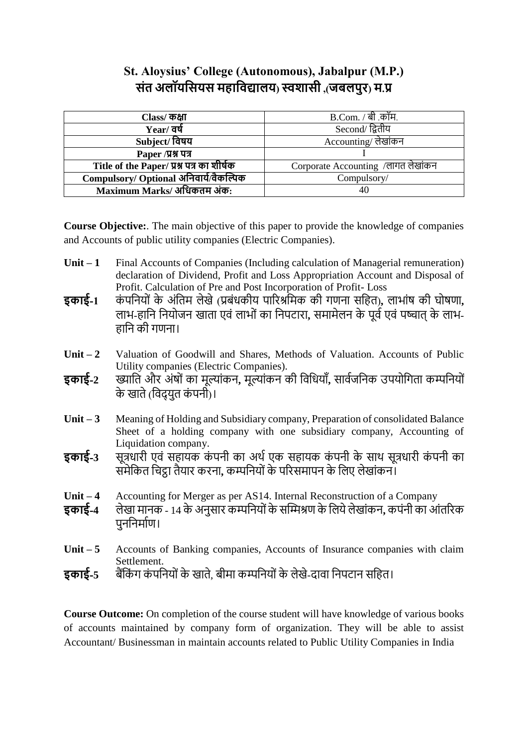# **St. Aloysius' College (Autonomous), Jabalpur (M.P.) संत अलॉयससयस महासिद्यालय( स्वशासी ,)जबलपुर( म.प्र**

| Class/ कक्षा                              | B.Com. / बी .कॉम.                  |  |  |
|-------------------------------------------|------------------------------------|--|--|
| Year/ वर्ष                                | Second/ द्वितीय                    |  |  |
| Subject/ विषय                             | Accounting/ लेखांकन                |  |  |
| Paper /प्रश्न पत्र                        |                                    |  |  |
| Title of the Paper/ प्रश्न पत्र का शीर्षक | Corporate Accounting /लागत लेखांकन |  |  |
| Compulsory/ Optional अनिवार्य/वैकल्पिक    | Compulsory/                        |  |  |
| Maximum Marks/ अधिकतम अंक:                | 40                                 |  |  |

**Course Objective:**. The main objective of this paper to provide the knowledge of companies and Accounts of public utility companies (Electric Companies).

- **Unit – 1** Final Accounts of Companies (Including calculation of Managerial remuneration) declaration of Dividend, Profit and Loss Appropriation Account and Disposal of Profit. Calculation of Pre and Post Incorporation of Profit- Loss
- **इकाई-1** कंपनियों के अंतिम लेखे (प्रबंधकीय पारिश्रमिक की गणना सहित), लाभांष की घोषणा, लाभ-हानि नियोजन खाता एवं लाभों का निपटारा, समामेलन के पूर्व एवं पष्चात के लाभ-हानि की गणना।
- Unit 2 Valuation of Goodwill and Shares, Methods of Valuation. Accounts of Public Utility companies (Electric Companies).
- **इकाई-**2 ख्याति और अंषों का मूल्यांकन, मूल्यांकन की विधियाँ, सार्वजनिक उपयोगिता कम्पनियों के खाते (विदयत कंपनी)।
- **Unit – 3** Meaning of Holding and Subsidiary company, Preparation of consolidated Balance Sheet of a holding company with one subsidiary company, Accounting of Liquidation company.
- **इकाई**-3 सूत्रधारी एवं सहायक कंपनी का अर्थ एक सहायक कंपनी के साथ सूत्रधारी कंपनी का समेकित चिट्ठा तैयार करना, कम्पनियों के परिसमापन के लिए लेखांकन।
- **Unit – 4** Accounting for Merger as per AS14. Internal Reconstruction of a Company
- **इकाई-4** लेख म नक 14 के अनुस ि कम्पद्वनय ांकेसम्मिश्रण केद्वलयेलेख ांकन**,** कपांनी क आांतरिक पननिर्माण।
- Unit 5 Accounts of Banking companies, Accounts of Insurance companies with claim Settlement.
- **इकाई-5** बैंकिंग कंपनियों के खाते, बीमा कम्पनियों के लेखे-दावा निपटान सहित।

**Course Outcome:** On completion of the course student will have knowledge of various books of accounts maintained by company form of organization. They will be able to assist Accountant/ Businessman in maintain accounts related to Public Utility Companies in India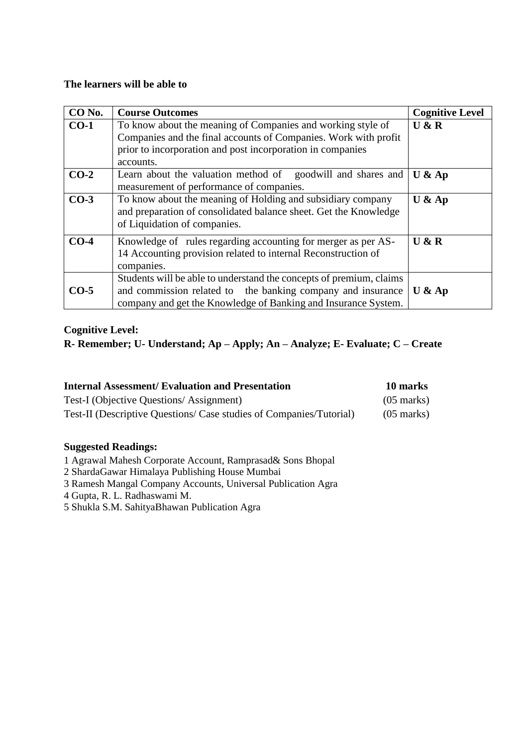#### **The learners will be able to**

| CO <sub>No.</sub> | <b>Course Outcomes</b>                                                                                                                                                                                    | <b>Cognitive Level</b> |
|-------------------|-----------------------------------------------------------------------------------------------------------------------------------------------------------------------------------------------------------|------------------------|
| $CO-1$            | To know about the meaning of Companies and working style of<br>Companies and the final accounts of Companies. Work with profit<br>prior to incorporation and post incorporation in companies<br>accounts. | U & R                  |
| $CO-2$            | Learn about the valuation method of goodwill and shares and<br>measurement of performance of companies.                                                                                                   | U & A p                |
| $CO-3$            | To know about the meaning of Holding and subsidiary company<br>and preparation of consolidated balance sheet. Get the Knowledge<br>of Liquidation of companies.                                           | $U$ & Ap               |
| $CO-4$            | Knowledge of rules regarding accounting for merger as per AS-<br>14 Accounting provision related to internal Reconstruction of<br>companies.                                                              | U & R                  |
| $CO-5$            | Students will be able to understand the concepts of premium, claims<br>and commission related to the banking company and insurance<br>company and get the Knowledge of Banking and Insurance System.      | $U$ & Ap               |

## **Cognitive Level:**

## **R- Remember; U- Understand; Ap – Apply; An – Analyze; E- Evaluate; C – Create**

| <b>Internal Assessment/Evaluation and Presentation</b>              | 10 marks             |
|---------------------------------------------------------------------|----------------------|
| Test-I (Objective Questions/Assignment)                             | $(05 \text{ marks})$ |
| Test-II (Descriptive Questions/ Case studies of Companies/Tutorial) | $(05 \text{ marks})$ |

- 1 Agrawal Mahesh Corporate Account, Ramprasad& Sons Bhopal
- 2 ShardaGawar Himalaya Publishing House Mumbai
- 3 Ramesh Mangal Company Accounts, Universal Publication Agra
- 4 Gupta, R. L. Radhaswami M.
- 5 Shukla S.M. SahityaBhawan Publication Agra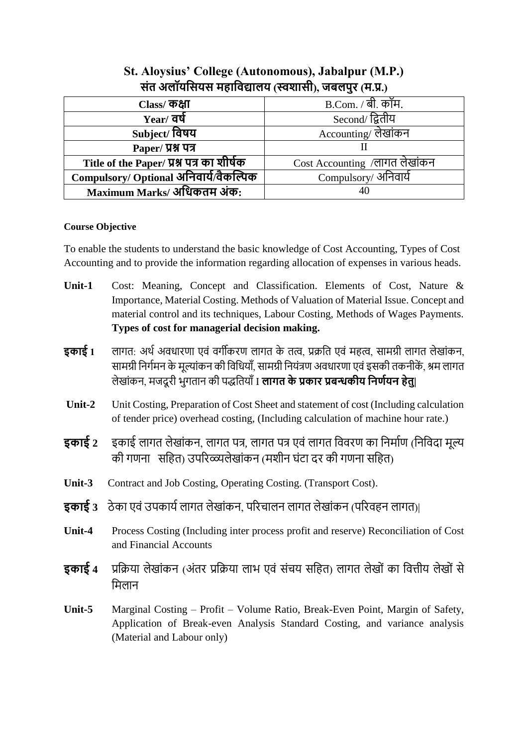| $\mathcal{L}(\mathcal{L}(\mathcal{L}(\mathcal{L}(\mathcal{L}(\mathcal{L}(\mathcal{L}(\mathcal{L}(\mathcal{L}(\mathcal{L}(\mathcal{L}(\mathcal{L}(\mathcal{L}(\mathcal{L}(\mathcal{L}(\mathcal{L}(\mathcal{L}(\mathcal{L}(\mathcal{L}(\mathcal{L}(\mathcal{L}(\mathcal{L}(\mathcal{L}(\mathcal{L}(\mathcal{L}(\mathcal{L}(\mathcal{L}(\mathcal{L}(\mathcal{L}(\mathcal{L}(\mathcal{L}(\mathcal{L}(\mathcal{L}(\mathcal{L}(\mathcal{L}(\mathcal{L}(\mathcal{$ |                               |  |  |
|-------------------------------------------------------------------------------------------------------------------------------------------------------------------------------------------------------------------------------------------------------------------------------------------------------------------------------------------------------------------------------------------------------------------------------------------------------------|-------------------------------|--|--|
| Class/ ক <b>ধা</b>                                                                                                                                                                                                                                                                                                                                                                                                                                          | <b>B.Com.</b> / बी. कॉम.      |  |  |
| $Year/$ वर्ष                                                                                                                                                                                                                                                                                                                                                                                                                                                | Second/ द्वितीय               |  |  |
| Subject/ विषय                                                                                                                                                                                                                                                                                                                                                                                                                                               | Accounting/ लेखांकन           |  |  |
| Paper/ प्रश्न पत्र                                                                                                                                                                                                                                                                                                                                                                                                                                          |                               |  |  |
| Title of the Paper/ प्रश्न पत्र का शीर्षक                                                                                                                                                                                                                                                                                                                                                                                                                   | Cost Accounting /लागत लेखांकन |  |  |
| Compulsory/ Optional अनिवार्य/वैकल्पिक                                                                                                                                                                                                                                                                                                                                                                                                                      | Compulsory/ अनिवार्य          |  |  |
| Maximum Marks/ अधिकतम अंक:                                                                                                                                                                                                                                                                                                                                                                                                                                  | 40                            |  |  |

## **St. Aloysius' College (Autonomous), Jabalpur (M.P.) संत अलॉयससयस महासिद्यालय )स्वशासी(, जबलपुर )म.प्र.(**

#### **Course Objective**

To enable the students to understand the basic knowledge of Cost Accounting, Types of Cost Accounting and to provide the information regarding allocation of expenses in various heads.

- **Unit-1** Cost: Meaning, Concept and Classification. Elements of Cost, Nature & Importance, Material Costing. Methods of Valuation of Material Issue. Concept and material control and its techniques, Labour Costing, Methods of Wages Payments. **Types of cost for managerial decision making.**
- **इकाई 1 लागत: अर्थ अवधारणा एवं वर्गीकरण लागत के तत्व, प्रक्रति एवं महत्व, सामग्री लागत लेखांकन,** सामग्री निर्गमन के मूल्यांकन की विधियाँ, सामग्री नियंत्रण अवधारणा एवं इसकी तकनीकें, श्रम लागत लेख ांकन, मजदू िी भुगत न की पद्धद्वतय ाँI **लागत के प्रकार प्रबन्धकीय सिर्षयि हेतु|**
- **Unit-2** Unit Costing, Preparation of Cost Sheet and statement of cost (Including calculation of tender price) overhead costing, (Including calculation of machine hour rate.)
- **इकाई** २ इकाई लागत लेखांकन, लागत पत्र, लागत पत्र एवं लागत विवरण का निर्माण (निविदा मूल्य की गणना सहित) उपरिव्व्यलेखांकन (मशीन घंटा दर की गणना सहित)
- **Unit-3** Contract and Job Costing, Operating Costing. (Transport Cost).
- **इकाई** 3 ठेका एवं उपकार्य लागत लेखांकन, परिचालन लागत लेखांकन (परिवहन लागत)।
- **Unit-4** Process Costing (Including inter process profit and reserve) Reconciliation of Cost and Financial Accounts
- **इकाई 4 प्रक्रिया लेखांकन (अंतर प्रक्रिया लाभ एवं संचय सहित) लागत लेखों का वित्तीय लेखों से** मिलान
- **Unit-5** Marginal Costing Profit Volume Ratio, Break-Even Point, Margin of Safety, Application of Break-even Analysis Standard Costing, and variance analysis (Material and Labour only)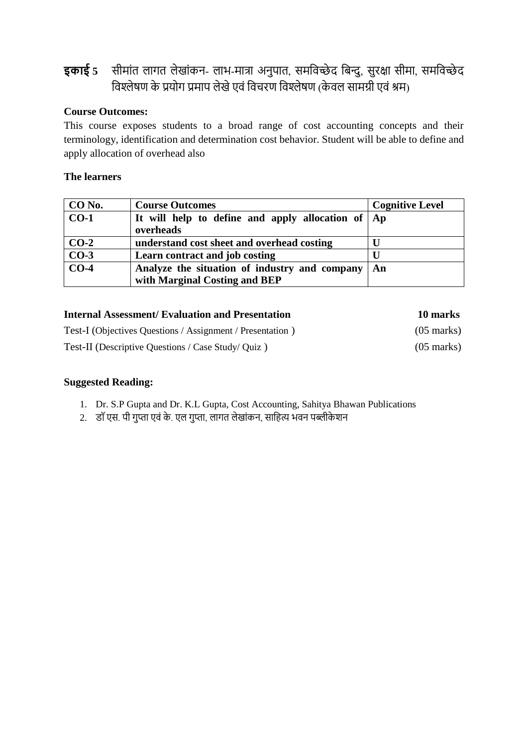# **इकाई** 5 सीमांत लागत लेखांकन- लाभ-मात्रा अनुपात, समविच्छेद बिन्दु, सुरक्षा सीमा, समविच्छेद विश्लेषण के प्रयोग प्रमाप लेखे एवं विचरण विश्लेषण (केवल सामग्री एवं श्रम)

## **Course Outcomes:**

This course exposes students to a broad range of cost accounting concepts and their terminology, identification and determination cost behavior. Student will be able to define and apply allocation of overhead also

### **The learners**

| CO No.            | <b>Course Outcomes</b>                                | <b>Cognitive Level</b> |
|-------------------|-------------------------------------------------------|------------------------|
| $CO-1$            | It will help to define and apply allocation of $ $ Ap |                        |
|                   | overheads                                             |                        |
| $CO-2$            | understand cost sheet and overhead costing            |                        |
| $CO-3$            | Learn contract and job costing                        |                        |
| $\overline{CO-4}$ | Analyze the situation of industry and company         | An                     |
|                   | with Marginal Costing and BEP                         |                        |

| <b>Internal Assessment/ Evaluation and Presentation</b>   | 10 marks             |
|-----------------------------------------------------------|----------------------|
| Test-I (Objectives Questions / Assignment / Presentation) | $(05 \text{ marks})$ |
| Test-II (Descriptive Questions / Case Study/ Quiz)        | $(05 \text{ marks})$ |

- 1. Dr. S.P Gupta and Dr. K.L Gupta, Cost Accounting, Sahitya Bhawan Publications
- 2. डॉ एस. पी गुप्ता एवं के. एल गुप्ता, लागत लेखांकन, साहित्य भवन पब्लीकेशन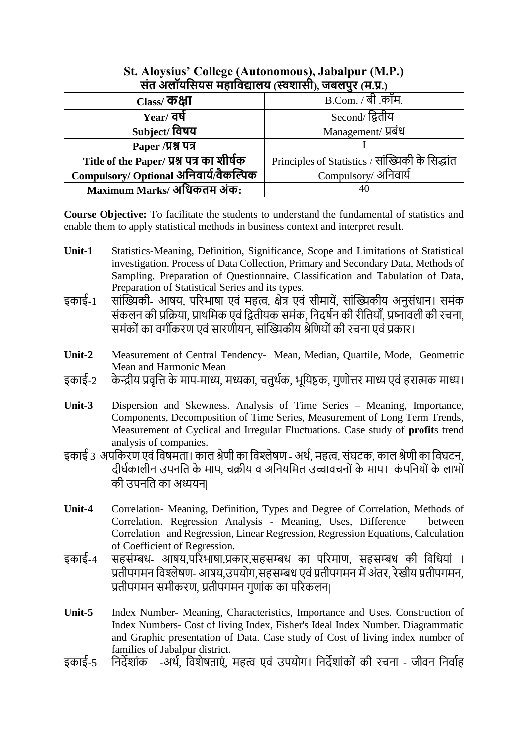| सत जतावासवस महाावद्यातव (स्वशासा), जबतपुर (म.प्र.) |                                                  |  |  |
|----------------------------------------------------|--------------------------------------------------|--|--|
| Class/ कक्षा                                       | B.Com. / बी .कॉम.                                |  |  |
| $Year/$ वर्ष                                       | Second/ द्वितीय                                  |  |  |
| Subject/ विषय                                      | Management/ प्रबंध                               |  |  |
| Paper /प्रश्न पत्र                                 |                                                  |  |  |
| Title of the Paper/ प्रश्न पत्र का शीर्षक          | Principles of Statistics / सांख्यिकी के सिद्धांत |  |  |
| Compulsory/ Optional अनिवार्य/वैकल्पिक             | Compulsory/ अनिवार्य                             |  |  |
| Maximum Marks/ अधिकतम अंक:                         | 40                                               |  |  |

## **St. Aloysius' College (Autonomous), Jabalpur (M.P.) संत अलॉयससयस महासिद्यालय )स्वशासी(, जबलपुर )म.प्र.(**

**Course Objective:** To facilitate the students to understand the fundamental of statistics and enable them to apply statistical methods in business context and interpret result.

- **Unit-1** Statistics-Meaning, Definition, Significance, Scope and Limitations of Statistical investigation. Process of Data Collection, Primary and Secondary Data, Methods of Sampling, Preparation of Questionnaire, Classification and Tabulation of Data, Preparation of Statistical Series and its types.
- इकाई-1 सांख्यिकी- आषय, परिभाषा एवं महत्व, क्षेत्र एवं सीमायें, सांख्यिकीय अनुसंधान। समंक संकलन की प्रक्रिया, प्राथमिक एवं द्वितीयक समंक, निदर्षन की रीतियाँ, प्रष्नावली की रचना, समंकों का वर्गीकरण एवं सारणीयन, सांख्यिकीय श्रेणियों की रचना एवं प्रकार।
- **Unit-2** Measurement of Central Tendency- Mean, Median, Quartile, Mode, Geometric Mean and Harmonic Mean
- इकाई-2 केन्द्रीय प्रवृत्ति के माप-माध्य, मध्यका, चतुर्थक, भूयिष्ठक, गुणोत्तर माध्य एवं हरात्मक माध्य।
- **Unit-3** Dispersion and Skewness. Analysis of Time Series Meaning, Importance, Components, Decomposition of Time Series, Measurement of Long Term Trends, Measurement of Cyclical and Irregular Fluctuations. Case study of **profit**s trend analysis of companies.
- इकाई 3 अपकिरण एवं विषमता। काल श्रेणी का विश्लेषण अर्थ, महत्व, संघटक, काल श्रेणी का विघटन, दीर्घकालीन उपनति के माप, चक्रीय व अनियमित उच्चावचनों के माप। कंपनियों के लाभों की उपनति का अध्ययन|
- **Unit-4** Correlation- Meaning, Definition, Types and Degree of Correlation, Methods of Correlation. Regression Analysis - Meaning, Uses, Difference between Correlation and Regression, Linear Regression, Regression Equations, Calculation of Coefficient of Regression.
- इकाई-4 सहसंम्बध- आषय,परिभाषा,प्रकार,सहसम्बध का परिमाण, सहसम्बध की विधियां । प्रतीपगमन विश्लेषण- आषय,उपयोग,सहसम्बध एवं प्रतीपगमन में अंतर, रेखीय प्रतीपगमन, प्रतीपगमन समीकरण, प्रतीपगमन गणांक का परिकलन|
- **Unit-5** Index Number- Meaning, Characteristics, Importance and Uses. Construction of Index Numbers- Cost of living Index, Fisher's Ideal Index Number. Diagrammatic and Graphic presentation of Data. Case study of Cost of living index number of families of Jabalpur district.
- इकाई-5 निर्देशांक -अर्थ, विशेषताएं, महत्व एवं उपयोग। निर्देशांकों की रचना जीवन निर्वाह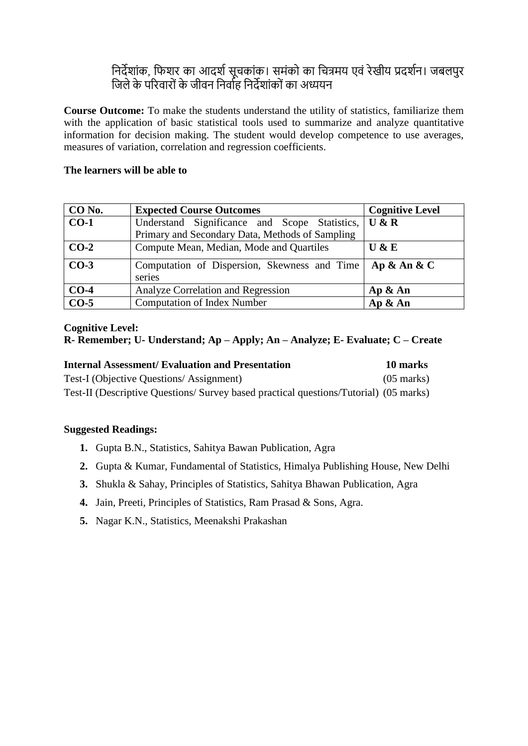## निर्देशांक, फिशर का आदर्श सूचकांक। समंको का चित्रमय एवं रेखीय प्रदर्शन। जबलपुर जिले के परिवारों के जीवन निर्वाह निर्देशांकों का अध्ययन

**Course Outcome:** To make the students understand the utility of statistics, familiarize them with the application of basic statistical tools used to summarize and analyze quantitative information for decision making. The student would develop competence to use averages, measures of variation, correlation and regression coefficients.

### **The learners will be able to**

| CO No. | <b>Expected Course Outcomes</b>                        | <b>Cognitive Level</b> |
|--------|--------------------------------------------------------|------------------------|
| $CO-1$ | Understand Significance and Scope Statistics,          | U & R                  |
|        | Primary and Secondary Data, Methods of Sampling        |                        |
| $CO-2$ | Compute Mean, Median, Mode and Quartiles               | U & E                  |
| $CO-3$ | Computation of Dispersion, Skewness and Time<br>series | Ap $\&$ An $\&$ C      |
| $CO-4$ | Analyze Correlation and Regression                     | Ap & An                |
| $CO-5$ | <b>Computation of Index Number</b>                     | Ap & An                |

#### **Cognitive Level:**

## **R- Remember; U- Understand; Ap – Apply; An – Analyze; E- Evaluate; C – Create**

| <b>Internal Assessment/ Evaluation and Presentation</b>                              | 10 marks             |
|--------------------------------------------------------------------------------------|----------------------|
| Test-I (Objective Questions/Assignment)                                              | $(05 \text{ marks})$ |
| Test-II (Descriptive Questions/Survey based practical questions/Tutorial) (05 marks) |                      |

- **1.** Gupta B.N., Statistics, Sahitya Bawan Publication, Agra
- **2.** Gupta & Kumar, Fundamental of Statistics, Himalya Publishing House, New Delhi
- **3.** Shukla & Sahay, Principles of Statistics, Sahitya Bhawan Publication, Agra
- **4.** Jain, Preeti, Principles of Statistics, Ram Prasad & Sons, Agra.
- **5.** Nagar K.N., Statistics, Meenakshi Prakashan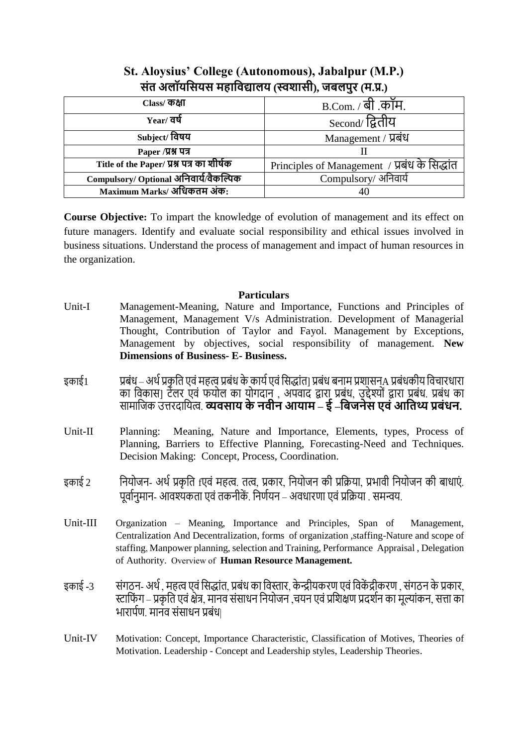| $\mathcal{L}(\mathcal{L}(\mathcal{L}(\mathcal{L}(\mathcal{L}(\mathcal{L}(\mathcal{L}(\mathcal{L}(\mathcal{L}(\mathcal{L}(\mathcal{L}(\mathcal{L}(\mathcal{L}(\mathcal{L}(\mathcal{L}(\mathcal{L}(\mathcal{L}(\mathcal{L}(\mathcal{L}(\mathcal{L}(\mathcal{L}(\mathcal{L}(\mathcal{L}(\mathcal{L}(\mathcal{L}(\mathcal{L}(\mathcal{L}(\mathcal{L}(\mathcal{L}(\mathcal{L}(\mathcal{L}(\mathcal{L}(\mathcal{L}(\mathcal{L}(\mathcal{L}(\mathcal{L}(\mathcal{$ |                                               |  |  |
|-------------------------------------------------------------------------------------------------------------------------------------------------------------------------------------------------------------------------------------------------------------------------------------------------------------------------------------------------------------------------------------------------------------------------------------------------------------|-----------------------------------------------|--|--|
| Class/ कक्षा                                                                                                                                                                                                                                                                                                                                                                                                                                                | $B.$ Com. / बी. कॉम.                          |  |  |
| Year/ वर्षे                                                                                                                                                                                                                                                                                                                                                                                                                                                 | Second/ द्वितीय                               |  |  |
| Subject/ विषय                                                                                                                                                                                                                                                                                                                                                                                                                                               | Management / प्रबंध                           |  |  |
| Paper /प्रश्न पत्र                                                                                                                                                                                                                                                                                                                                                                                                                                          |                                               |  |  |
| Title of the Paper/ प्रश्न पत्र का शीर्षक                                                                                                                                                                                                                                                                                                                                                                                                                   | Principles of Management / प्रबंध के सिद्धांत |  |  |
| Compulsory/ Optional अनिवार्य/वैकल्पिक                                                                                                                                                                                                                                                                                                                                                                                                                      | Compulsory/ अनिवार्य                          |  |  |
| Maximum Marks/ अधिकतम अंक:                                                                                                                                                                                                                                                                                                                                                                                                                                  | 40                                            |  |  |

## **St. Aloysius' College (Autonomous), Jabalpur (M.P.) संत अलॉयससयस महासिद्यालय (स्वशासी), जबलपुर (म.प्र.)**

**Course Objective:** To impart the knowledge of evolution of management and its effect on future managers. Identify and evaluate social responsibility and ethical issues involved in business situations. Understand the process of management and impact of human resources in the organization.

#### **Particulars**

- Unit-I Management-Meaning, Nature and Importance, Functions and Principles of Management, Management V/s Administration. Development of Managerial Thought, Contribution of Taylor and Fayol. Management by Exceptions, Management by objectives, social responsibility of management. **New Dimensions of Business- E- Business.**
- इकाई 1 प्रबंध अर्थ प्रकृति एवं महत्व प्रबंध के कार्य एवं सिद्धांत] प्रबंध बनाम प्रशासनA प्रबंधकीय विचारधारा का विकास] टेलर एवं फयाल का यागदान् , अपवाद द्वारा प्रबंध, उद्देश्यां द्वारा प्रबंध. प्रबंध का **सामाजिक उत्तरदायित्व. व्यवसाय के नवीन आयाम – ई –बिजनेस एवं <b>आतिथ्य प्रबंधन.**
- Unit-II Planning: Meaning, Nature and Importance, Elements, types, Process of Planning, Barriers to Effective Planning, Forecasting-Need and Techniques. Decision Making: Concept, Process, Coordination.
- इकाई 2 <sup>नियोजन</sup>- अर्थ प्रकृति fएवं महत्व. तत्व, प्रकार, नियोजन की प्रक्रिया, प्रभावी नियोजन की बाधाएं. पूर्वानुमान- आवश्यकता एवं तकनीकें. निर्णयन – अवधारणा एवं प्रक्रिया . समन्वय.
- Unit-III Organization Meaning, Importance and Principles, Span of Management, Centralization And Decentralization, forms of organization ,staffing-Nature and scope of staffing, Manpower planning, selection and Training, Performance Appraisal , Delegation of Authority. Overview of **Human Resource Management.**
- इकाई -3 संगठन- अर्थ , महत्व एवं सिद्धांत, प्रबंध का विस्तार, केन्द्रीयकरण एवं विकेंद्रीकरण , संगठन के प्रकार, स्टाफिंग – प्रकृति एवं क्षेत्र, मानव संसाधन नियोजन ,चयन एवं प्रशिक्षण प्रदर्शन का मुल्यांकन, सत्ता का भारार्पण. मानव संसाधन प्रबंध|
- Unit-IV Motivation: Concept, Importance Characteristic, Classification of Motives, Theories of Motivation. Leadership - Concept and Leadership styles, Leadership Theories.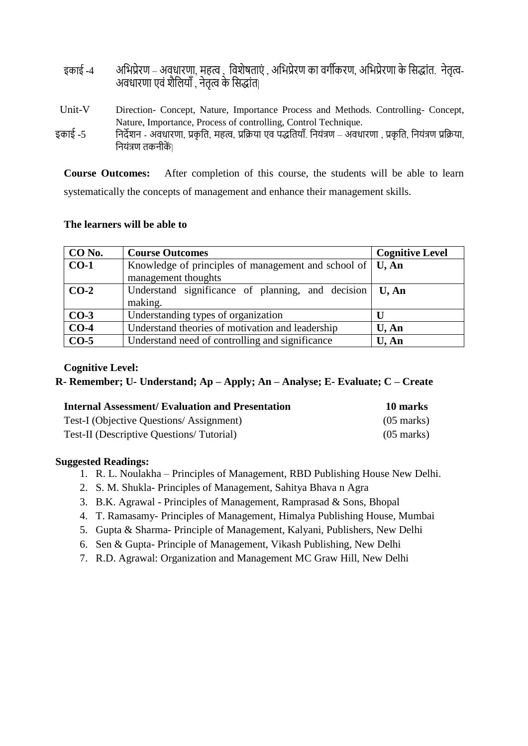| इकाई -4 | अभिप्रेरण – अवधारणा, महत्व ,  विशेषताएं , अभिप्रेरण का वर्गीकरण, अभिप्रेरणा के सिद्धांत.  नेतृत्व- |  |  |
|---------|----------------------------------------------------------------------------------------------------|--|--|
|         | अवधारणा एवं शैलियाँ , नेतृत्व के सिद्धांत                                                          |  |  |
|         |                                                                                                    |  |  |

- Unit-V Direction- Concept, Nature, Importance Process and Methods. Controlling- Concept, Nature, Importance, Process of controlling, Control Technique. इकाई -5 त्रिदेशन - अवधारणा, प्रकृति, महत्व, प्रक्रिया एव पद्धतियाँ. नियंत्रण – अवधारणा , प्रकृति, नियंत्रण प्रक्रिया,
- द्वनयांत्रण तकनीकें|

**Course Outcomes:** After completion of this course, the students will be able to learn systematically the concepts of management and enhance their management skills.

#### **The learners will be able to**

| CO No. | <b>Course Outcomes</b>                                                                          | <b>Cognitive Level</b> |
|--------|-------------------------------------------------------------------------------------------------|------------------------|
| $CO-1$ | Knowledge of principles of management and school of $\mid$ <b>U</b> , An<br>management thoughts |                        |
| $CO-2$ | Understand significance of planning, and decision<br>making.                                    | U, An                  |
| $CO-3$ | Understanding types of organization                                                             | U                      |
| $CO-4$ | Understand theories of motivation and leadership                                                | $U$ , An               |
| $CO-5$ | Understand need of controlling and significance                                                 | U, An                  |

#### **Cognitive Level:**

**R- Remember; U- Understand; Ap – Apply; An – Analyse; E- Evaluate; C – Create**

| <b>Internal Assessment/Evaluation and Presentation</b> | 10 marks             |
|--------------------------------------------------------|----------------------|
| Test-I (Objective Questions/Assignment)                | $(05 \text{ marks})$ |
| Test-II (Descriptive Questions/Tutorial)               | $(05 \text{ marks})$ |

- 1. R. L. Noulakha Principles of Management, RBD Publishing House New Delhi.
- 2. S. M. Shukla- Principles of Management, Sahitya Bhava n Agra
- 3. B.K. Agrawal Principles of Management, Ramprasad & Sons, Bhopal
- 4. T. Ramasamy- Principles of Management, Himalya Publishing House, Mumbai
- 5. Gupta & Sharma- Principle of Management, Kalyani, Publishers, New Delhi
- 6. Sen & Gupta- Principle of Management, Vikash Publishing, New Delhi
- 7. R.D. Agrawal: Organization and Management MC Graw Hill, New Delhi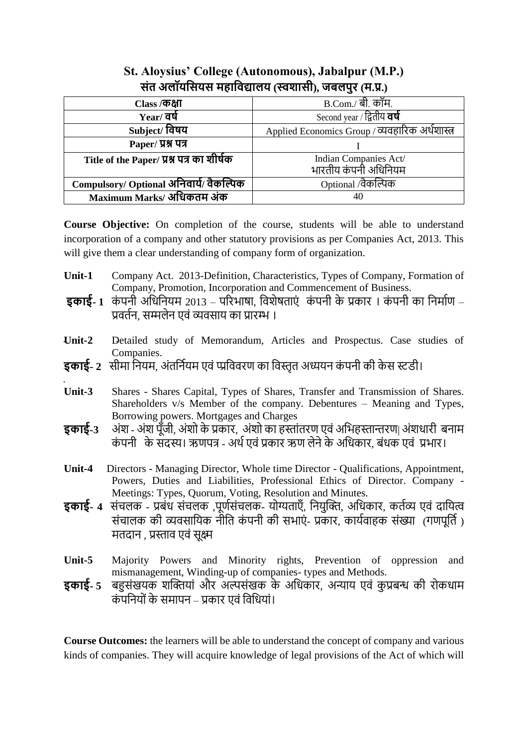| <u>הט סלווטומטק הפווטפולוט (לטאוומו), טשלוע</u> ל (ה.א.) |                                                 |
|----------------------------------------------------------|-------------------------------------------------|
| Class / कक्षा                                            | <b>B.Com./ बी. कॉम.</b>                         |
| $Year/$ वर्ष                                             | Second year / द्वितीय <b>वर्षे</b>              |
| Subject/ विषय                                            | Applied Economics Group / व्यवहारिक अर्थशास्त्र |
| Paper/ प्रश्न पत्र                                       |                                                 |
| Title of the Paper/ प्रश्न पत्र का शीर्षक                | Indian Companies Act/                           |
|                                                          | भारतीय कंपनी अधिनियम                            |
| Compulsory/ Optional अनिवार्य/ वैकल्पिक                  | Optional /वैकल्पिक                              |
| Maximum Marks/ अधिकतम अंक                                | 40                                              |

## **St. Aloysius' College (Autonomous), Jabalpur (M.P.) संत अलॉयससयस महासिद्यालय (स्वशासी), जबलपुर (म.प्र.)**

**Course Objective:** On completion of the course, students will be able to understand incorporation of a company and other statutory provisions as per Companies Act, 2013. This will give them a clear understanding of company form of organization.

- **Unit-1** Company Act. 2013-Definition, Characteristics, Types of Company, Formation of Company, Promotion, Incorporation and Commencement of Business.
- **इकाई- 1** कंपनी अधिनियम 2013 परिभाषा, विशेषताएं कंपनी के प्रकार । कंपनी का निर्माण प्रवर्तन, सम्मलेन एवं व्यवसाय का प्रारम्भ ।
- **Unit-2** Detailed study of Memorandum, Articles and Prospectus. Case studies of Companies.
- **इकाई- 2** सीम द्वनयम, अांतद्वनवयम एवां प्प्प्रद्ववविण क द्ववस्तृत अध्ययन कां पनी की के स स्टडी।
- **Unit-3** Shares Shares Capital, Types of Shares, Transfer and Transmission of Shares. Shareholders v/s Member of the company. Debentures – Meaning and Types, Borrowing powers. Mortgages and Charges
- **इकाई-3** अंश अंश पूँजी, अंशो के प्रकार, अंशो का हस्तांतरण एवं अभिहस्तान्तरण| अंशधारी बनाम कंपनी के सदस्य। ऋणपत्र - अर्थ एवं प्रकार ऋण लेने के अधिकार, बंधक एवं प्रभार।
- **Unit-4** Directors Managing Director, Whole time Director Qualifications, Appointment, Powers, Duties and Liabilities, Professional Ethics of Director. Company - Meetings: Types, Quorum, Voting, Resolution and Minutes.
- **इकाई- 4** संचलक प्रबंध संचलक ,पूर्णसंचलक- योग्यताएँ, नियुक्ति, अधिकार, कर्तव्य एवं दायित्व संचालक की व्यवसायिक नौति कंपनी की सभाएं- प्रकार, कार्यवाहक संख्या (गणपूर्ति) मतदान , प्रस्ताव एवं सक्ष्म
- **Unit-5** Majority Powers and Minority rights, Prevention of oppression and mismanagement, Winding-up of companies- types and Methods.
- **इकाई-** 5 बहुसंखयक शक्तियां और अल्पसंखक के अधिकार, अन्याय एवं कुप्रबन्ध की रोकधाम कंपनियों के समापन – प्रकार एवं विधियां।

**Course Outcomes:** the learners will be able to understand the concept of company and various kinds of companies. They will acquire knowledge of legal provisions of the Act of which will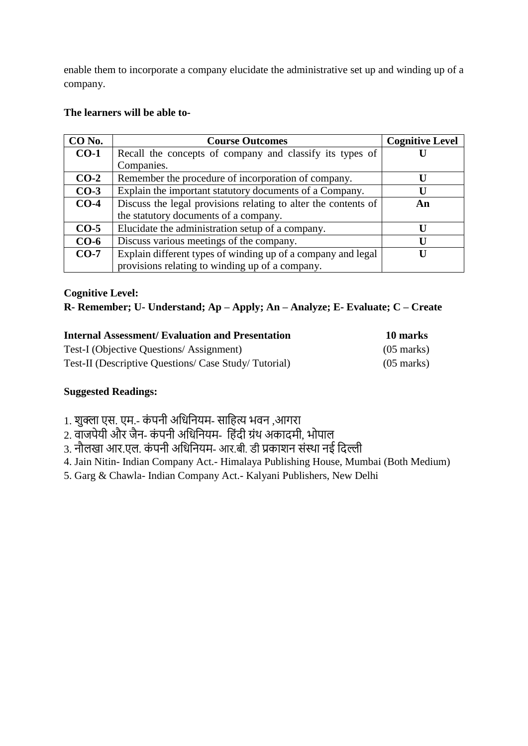enable them to incorporate a company elucidate the administrative set up and winding up of a company.

### **The learners will be able to-**

| CO No. | <b>Course Outcomes</b>                                         | <b>Cognitive Level</b> |
|--------|----------------------------------------------------------------|------------------------|
| $CO-1$ | Recall the concepts of company and classify its types of       |                        |
|        | Companies.                                                     |                        |
| $CO-2$ | Remember the procedure of incorporation of company.            |                        |
| $CO-3$ | Explain the important statutory documents of a Company.        |                        |
| $CO-4$ | Discuss the legal provisions relating to alter the contents of | An                     |
|        | the statutory documents of a company.                          |                        |
| $CO-5$ | Elucidate the administration setup of a company.               |                        |
| $CO-6$ | Discuss various meetings of the company.                       |                        |
| $CO-7$ | Explain different types of winding up of a company and legal   |                        |
|        | provisions relating to winding up of a company.                |                        |

#### **Cognitive Level:**

## **R- Remember; U- Understand; Ap – Apply; An – Analyze; E- Evaluate; C – Create**

| <b>Internal Assessment/ Evaluation and Presentation</b> | 10 marks             |
|---------------------------------------------------------|----------------------|
| Test-I (Objective Questions/Assignment)                 | $(05 \text{ marks})$ |
| Test-II (Descriptive Questions/ Case Study/ Tutorial)   | $(05 \text{ marks})$ |

- 1. शुक्ला एस. एम.- कंपनी अधिनियम- साहित्य भवन ,आगरा
- बुनी जो जो जो जो कांग्रेनी अधिनियम- हिंदी ग्रंथ अकादमी, भोपाल
- 3. नौलखा आर.एल. कंपनी अधिनियम- आर.बी. डी प्रकाशन संस्था नई दिल्ली
- 4. Jain Nitin- Indian Company Act.- Himalaya Publishing House, Mumbai (Both Medium)
- 5. Garg & Chawla- Indian Company Act.- Kalyani Publishers, New Delhi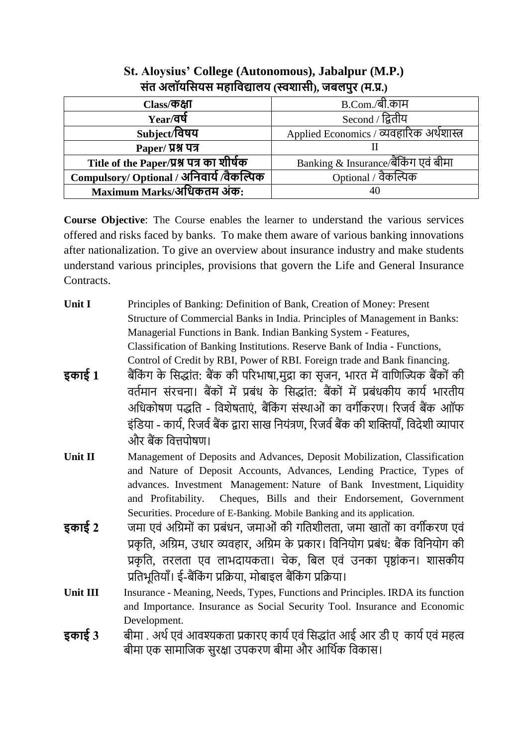| $Class$ कक्षा                            | B.Com./बी.काम                             |
|------------------------------------------|-------------------------------------------|
| $Year$ वर्ष                              | Second / द्वितीय                          |
| Subject/विषय                             | Applied Economics / व्यवहारिक अर्थशास्त्र |
| Paper/ प्रश्न पत्र                       |                                           |
| Title of the Paper/प्रश्न पत्र का शीर्षक | Banking & Insurance/बैंकिंग एवं बीमा      |
| Compulsory/ Optional / अनिवार्य/वैकल्पिक | Optional / वैकल्पिक                       |
| Maximum Marks/अधिकतम अंक:                | 40                                        |

## **St. Aloysius' College (Autonomous), Jabalpur (M.P.) संत अलॉयससयस महासिद्यालय (स्वशासी), जबलपुर (म.प्र.)**

**Course Objective**: The Course enables the learner to understand the various services offered and risks faced by banks. To make them aware of various banking innovations after nationalization. To give an overview about insurance industry and make students understand various principles, provisions that govern the Life and General Insurance Contracts.

- **Unit I** Principles of Banking: Definition of Bank, Creation of Money: Present Structure of Commercial Banks in India. Principles of Management in Banks: Managerial Functions in Bank. Indian Banking System - Features, Classification of Banking Institutions. Reserve Bank of India - Functions, Control of Credit by RBI, Power of RBI. Foreign trade and Bank financing.
- **इकाई 1** बैंकिंग के सिद्धांत: बैंक की परिभाषा,मुद्रा का सुजन, भारत में वाणिज्यिक बैंकों की वर्तमान संरचना। बैंकों में प्रबंध के सिद्धांत: बैंकों में प्रबंधकीय कार्य भारतीय अधिकोषण पद्धति - विशेषताएं. बैंकिंग संस्थाओं का वर्गीकरण। रिजर्व बैंक आॉफ इंडिया - कार्य, रिजर्व बैंक द्वारा साख नियंत्रण, रिजर्व बैंक की शक्तियाँ, विदेशी व्यापार और बैंक वित्तपोषण।
- **Unit II** Management of Deposits and Advances, Deposit Mobilization, Classification and Nature of Deposit Accounts, Advances, Lending Practice, Types of advances. Investment Management: Nature of Bank Investment, Liquidity and Profitability. Cheques, Bills and their Endorsement, Government Securities. Procedure of E-Banking. Mobile Banking and its application.
- **इकाई 2** जमा एवं अग्रिमों का प्रबंधन, जमाओं की गतिशीलता, जमा खातों का वर्गीकरण एवं प्रकृति, अग्रिम, उधार व्यवहार, अग्रिम के प्रकार। विनियोग प्रबंध: बैंक विनियोग की प्रकृति, तरलता एव लाभदायकता। चेक, बिल एवं उनका पृष्ठांकन। शासकीय प्रतिभतियाँ। ई-बैंकिंग प्रक्रिया, मोबाइल बैंकिंग प्रक्रिया।
- **Unit III** Insurance Meaning, Needs, Types, Functions and Principles. IRDA its function and Importance. Insurance as Social Security Tool. Insurance and Economic Development.
- **इकाई 3** बीमा . अर्थ एवं आवश्यकता प्रकारए कार्य एवं सिद्धांत आई आर डी एकार्य एवं महत्व बीमा एक सामाजिक सुरक्षा उपकरण बीमा और आर्थिक विकास।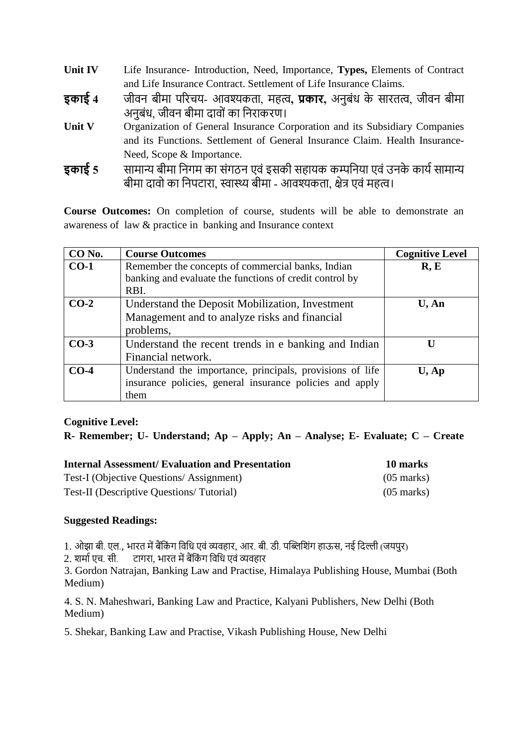| Unit IV | Life Insurance-Introduction, Need, Importance, Types, Elements of Contract |
|---------|----------------------------------------------------------------------------|
|         | and Life Insurance Contract. Settlement of Life Insurance Claims.          |
|         |                                                                            |

- **इकाई 4** जीवन बीमा परिचय- आवश्यकता, महत्व**, प्रकार,** अनुबंध के सारतत्व, जीवन बीमा अनुबंध, जीवन बीमा दावों का निराकरण।
- Unit V Organization of General Insurance Corporation and its Subsidiary Companies and its Functions. Settlement of General Insurance Claim. Health Insurance-Need, Scope & Importance.
- **इकाई 5** सामान्य बीमा निगम का संगठन एवं इसकी सहायक कम्पनिया एवं उनके कार्य सामान्य बीमा दावो का निपटारा, स्वास्थ्य बीमा - आवश्यकता, क्षेत्र एवं महत्व।

**Course Outcomes:** On completion of course, students will be able to demonstrate an awareness of law & practice in banking and Insurance context

| CO No. | <b>Course Outcomes</b>                                    | <b>Cognitive Level</b> |
|--------|-----------------------------------------------------------|------------------------|
| $CO-1$ | Remember the concepts of commercial banks, Indian         | R, E                   |
|        | banking and evaluate the functions of credit control by   |                        |
|        | RBI.                                                      |                        |
| $CO-2$ | Understand the Deposit Mobilization, Investment           | $U$ , An               |
|        | Management and to analyze risks and financial             |                        |
|        | problems,                                                 |                        |
| $CO-3$ | Understand the recent trends in e banking and Indian      | Ħ                      |
|        | Financial network.                                        |                        |
| $CO-4$ | Understand the importance, principals, provisions of life | $U$ , Ap               |
|        | insurance policies, general insurance policies and apply  |                        |
|        | them                                                      |                        |

### **Cognitive Level:**

**R- Remember; U- Understand; Ap – Apply; An – Analyse; E- Evaluate; C – Create**

| <b>Internal Assessment/Evaluation and Presentation</b> | 10 marks             |
|--------------------------------------------------------|----------------------|
| Test-I (Objective Questions/Assignment)                | $(05 \text{ marks})$ |
| Test-II (Descriptive Questions/Tutorial)               | $(05 \text{ marks})$ |

### **Suggested Readings:**

1. ओझा बी. एल., भारत में बैंकिंग विधि एवं व्यवहार, आर. बी. डी. पब्लिशिंग हाऊस, नई दिल्ली (जयपुर)

2. शर्मा एच. सी. टागरा, भारत में बैंकिंग विधि एवं व्यवहार

3. Gordon Natrajan, Banking Law and Practise, Himalaya Publishing House, Mumbai (Both Medium)

4. S. N. Maheshwari, Banking Law and Practice, Kalyani Publishers, New Delhi (Both Medium)

5. Shekar, Banking Law and Practise, Vikash Publishing House, New Delhi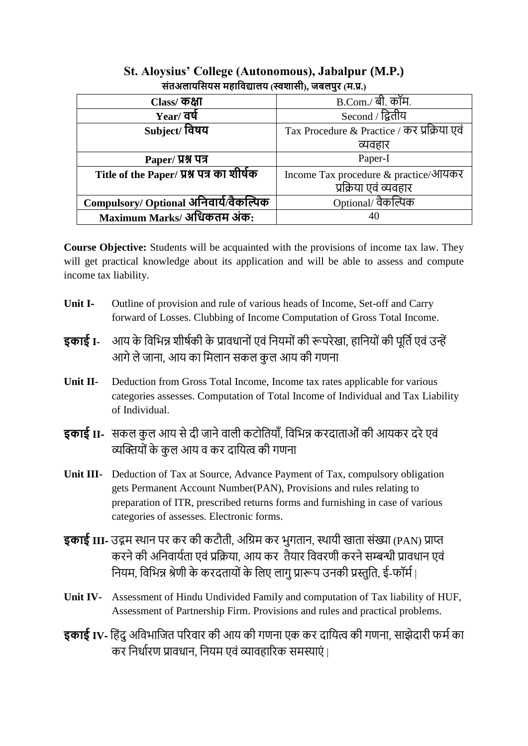| त्तराजसापात्तपत्तं नुहारपद्यासप् (स्पर्नाप्ता), अपसंपूर (न.प्र.) |                                             |  |
|------------------------------------------------------------------|---------------------------------------------|--|
| Class/ ক <b>ধা</b>                                               | <b>B.Com./ बी. कॉम.</b>                     |  |
| Year/ वर्ष                                                       | Second / द्वितीय                            |  |
| Subject/ विषय                                                    | Tax Procedure & Practice / कर प्रक्रिया एवं |  |
|                                                                  | व्यवहार                                     |  |
| Paper/ प्रश्न पत्र                                               | Paper-I                                     |  |
| Title of the Paper/ प्रश्न पत्र का शीर्षक                        | Income Tax procedure & practice/आयकर        |  |
|                                                                  | प्रक्रिया एवं व्यवहार                       |  |
| Compulsory/ Optional अनिवार्य/वैकल्पिक                           | Optional/ वैकल्पिक                          |  |
| Maximum Marks/ अधिकतम अंक:                                       | 40                                          |  |

## **St. Aloysius' College (Autonomous), Jabalpur (M.P.) संतअलायससयस महासिद्यालय )स्वशासी(, जबलपुर )म.प्र.(**

**Course Objective:** Students will be acquainted with the provisions of income tax law. They will get practical knowledge about its application and will be able to assess and compute income tax liability.

- **Unit I-** Outline of provision and rule of various heads of Income, Set-off and Carry forward of Losses. Clubbing of Income Computation of Gross Total Income.
- **इकाई I-** आय के विभिन्न शीर्षकी के प्रावधानों एवं नियमों की रूपरेखा. हानियों की पूर्ति एवं उन्हें आगे ले जाना, आय का मिलान सकल कुल आय की गणना
- **Unit II-** Deduction from Gross Total Income, Income tax rates applicable for various categories assesses. Computation of Total Income of Individual and Tax Liability of Individual.
- **इकाई II-** सकल कुल आय से दी जाने वाली कटोतियाँ, विभिन्न करदाताओं की आयकर दरे एवं व्यक्तियों के कुल आय व कर दायित्व की गणना
- **Unit III-** Deduction of Tax at Source, Advance Payment of Tax, compulsory obligation gets Permanent Account Number(PAN), Provisions and rules relating to preparation of ITR, prescribed returns forms and furnishing in case of various categories of assesses. Electronic forms.
- **इकाई III-** उद्गम स्थान पर कर की कटौती, अग्रिम कर भूगतान, स्थायी खाता संख्या (PAN) प्राप्त करने की अनिवार्यता एवं प्रक्रिया, आय कर तैयार विवरणी करने सम्बन्धी प्रावधान एवं नियम, विभिन्न श्रेणी के करदतायों के लिए लागू प्रारूप उनकी प्रस्तुति, ई-फॉर्म।
- **Unit IV-** Assessment of Hindu Undivided Family and computation of Tax liability of HUF, Assessment of Partnership Firm. Provisions and rules and practical problems.
- **इकाई IV-** हिंदू अविभाजित परिवार की आय की गणना एक कर दायित्व की गणना, साझेदारी फर्म का कर निर्धारण प्रावधान, नियम एवं व्यावहारिक समस्याएं |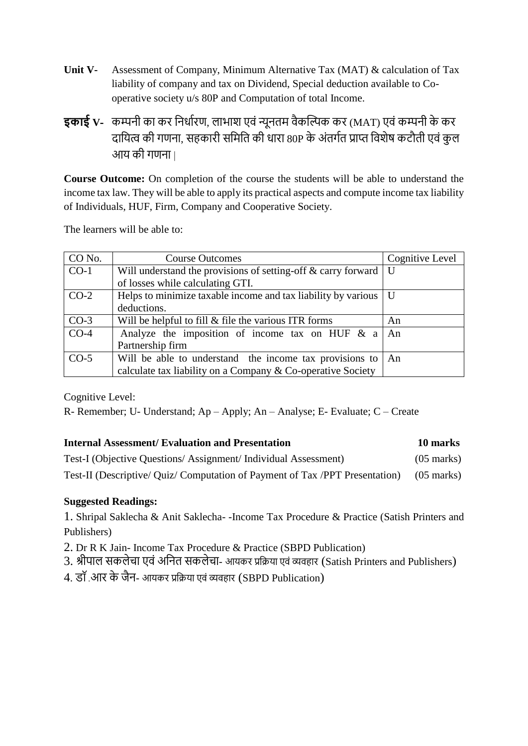- **Unit V-** Assessment of Company, Minimum Alternative Tax (MAT) & calculation of Tax liability of company and tax on Dividend, Special deduction available to Cooperative society u/s 80P and Computation of total Income.
- **इकाई V-** कम्पनी का कर निर्धारण, लाभाश एवं न्यूनतम वैकल्पिक कर (MAT) एवं कम्पनी के कर दायित्व की गणना, सहकारी समिति की धारा 80P के अंतर्गत प्राप्त विशेष कटौती एवं कुल आय की गणना।

**Course Outcome:** On completion of the course the students will be able to understand the income tax law. They will be able to apply its practical aspects and compute income tax liability of Individuals, HUF, Firm, Company and Cooperative Society.

The learners will be able to:

| CO No. | <b>Course Outcomes</b>                                        | Cognitive Level |
|--------|---------------------------------------------------------------|-----------------|
| $CO-1$ | Will understand the provisions of setting-off & carry forward | U               |
|        | of losses while calculating GTI.                              |                 |
| $CO-2$ | Helps to minimize taxable income and tax liability by various | U               |
|        | deductions.                                                   |                 |
| $CO-3$ | Will be helpful to fill $\&$ file the various ITR forms       | An              |
| $CO-4$ | Analyze the imposition of income tax on HUF & a               | An              |
|        | Partnership firm                                              |                 |
| $CO-5$ | Will be able to understand the income tax provisions to       | An              |
|        | calculate tax liability on a Company & Co-operative Society   |                 |

Cognitive Level:

R- Remember; U- Understand; Ap – Apply; An – Analyse; E- Evaluate; C – Create

## **Internal Assessment/ Evaluation and Presentation 10 marks**

| Test-I (Objective Questions/Assignment/Individual Assessment)                           | $(05 \text{ marks})$ |
|-----------------------------------------------------------------------------------------|----------------------|
| Test-II (Descriptive/ Quiz/ Computation of Payment of Tax /PPT Presentation) (05 marks) |                      |

## **Suggested Readings:**

1. Shripal Saklecha & Anit Saklecha- -Income Tax Procedure & Practice (Satish Printers and Publishers)

2. Dr R K Jain- Income Tax Procedure & Practice (SBPD Publication)

3. श्रीपाल सकलेचा एवं अनित सकलेचा- आयकर प्रक्रिया एवं व्यवहार (Satish Printers and Publishers)

4. डॉ.आर के जैन- आयकर प्रक्रिया एवं व्यवहार (SBPD Publication)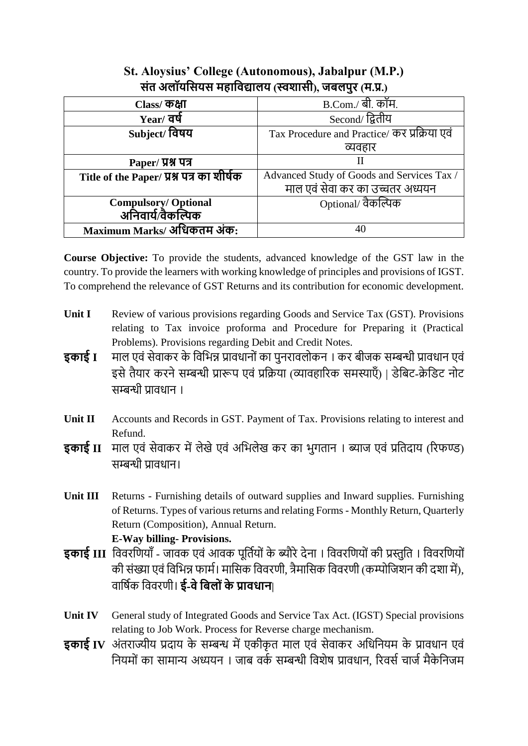| Class/ ক <b>ধা</b>                        | <b>B.Com./ बी. कॉम.</b>                      |
|-------------------------------------------|----------------------------------------------|
| $Year/$ वर्ष                              | Second/ द्वितीय                              |
| Subject/ विषय                             | Tax Procedure and Practice/ कर प्रक्रिया एवं |
|                                           | व्यवहार                                      |
| Paper/ प्रश्न पत्र                        | Н                                            |
| Title of the Paper/ प्रश्न पत्र का शीर्षक | Advanced Study of Goods and Services Tax /   |
|                                           | माल एवं सेवा कर का उच्चतर अध्ययन             |
| Compulsory/ Optional<br>अनिवार्य/वैकल्पिक | Optional/ वैकल्पिक                           |
|                                           |                                              |
| Maximum Marks/ अधिकतम अंक:                |                                              |

## **St. Aloysius' College (Autonomous), Jabalpur (M.P.) संत अलॉयससयस महासिद्यालय )स्वशासी(, जबलपुर )म.प्र.(**

**Course Objective:** To provide the students, advanced knowledge of the GST law in the country. To provide the learners with working knowledge of principles and provisions of IGST. To comprehend the relevance of GST Returns and its contribution for economic development.

- **Unit I** Review of various provisions regarding Goods and Service Tax (GST). Provisions relating to Tax invoice proforma and Procedure for Preparing it (Practical Problems). Provisions regarding Debit and Credit Notes.
- **इकाई I** माल एवं सेवाकर के विभिन्न प्रावधानों का पुनरावलोकन । कर बीजक सम्बन्धी प्रावधान एवं इसे तैयार करने सम्बन्धी प्रारूप एवं प्रक्रिया (व्यावहारिक समस्याएँ) | डेबिट-क्रेडिट नोट सम्बन्धी प्रावधान ।
- Unit II Accounts and Records in GST. Payment of Tax. Provisions relating to interest and Refund.
- **इकाई II** माल एवं सेवाकर में लेखे एवं अभिलेख कर का भुगतान । ब्याज एवं प्रतिदाय (रिफण्ड) सम्बन्धी पातधान।
- **Unit III** Returns Furnishing details of outward supplies and Inward supplies. Furnishing of Returns. Types of various returns and relating Forms - Monthly Return, Quarterly Return (Composition), Annual Return. **E-Way billing- Provisions.**
- **इकाई III** विवरणियाँ जावक एवं आवक पूर्तियों के ब्यौरे देना । विवरणियों की प्रस्तुति । विवरणियों की संख्या एवं विभिन्न फार्म। मासिक विवरणी, त्रैमासिक विवरणी (कम्पोजिशन की दशा में), व द्वषवक द्ववविणी। **ई-िेसबल ंके प्राििाि|**
- **Unit IV** General study of Integrated Goods and Service Tax Act. (IGST) Special provisions relating to Job Work. Process for Reverse charge mechanism.
- **इकाई IV** अंतराज्यीय प्रदाय के सम्बन्ध में एकीकृत माल एवं सेवाकर अधिनियम के प्रावधान एवं नियमों का सामान्य अध्ययन । जाब वर्क सम्बन्धी विशेष प्रावधान, रिवर्स चार्ज मैकेनिजम